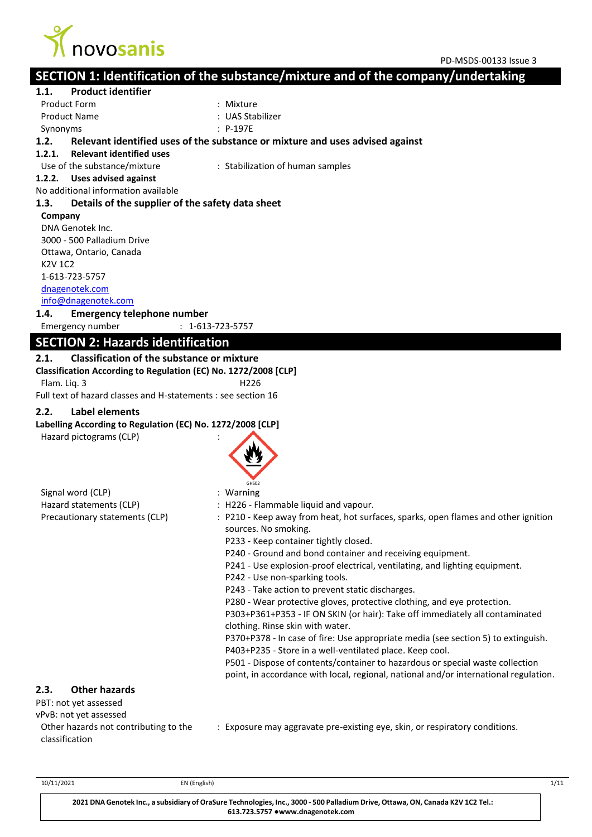

# **SECTION 1: Identification of the substance/mixture and of the company/undertaking**

**1.1. Product identifier** Product Form  $\blacksquare$ : Mixture Product Name : UAS Stabilizer Synonyms : P-197E **1.2. Relevant identified uses of the substance or mixture and uses advised against 1.2.1. Relevant identified uses** Use of the substance/mixture : Stabilization of human samples **1.2.2. Uses advised against** No additional information available **1.3. Details of the supplier of the safety data sheet Company**  DNA Genotek Inc. 3000 - 500 Palladium Drive Ottawa, Ontario, Canada K2V 1C2 1-613-723-5757 [dnagenotek.com](file://///bonnie/Users/espurrier/ExESS_Output/dnagenotek.com) [info@dnagenotek.com](mailto:info@dnagenotek.com) **1.4. Emergency telephone number** Emergency number : 1-613-723-5757 **SECTION 2: Hazards identification 2.1. Classification of the substance or mixture Classification According to Regulation (EC) No. 1272/2008 [CLP]** Flam. Liq. 3 **H226** Full text of hazard classes and H-statements : see section 16 **2.2. Label elements Labelling According to Regulation (EC) No. 1272/2008 [CLP]** Hazard pictograms (CLP) : GHS02 Signal word (CLP) : Warning Hazard statements (CLP) : H226 - Flammable liquid and vapour. Precautionary statements (CLP) : P210 - Keep away from heat, hot surfaces, sparks, open flames and other ignition sources. No smoking. P233 - Keep container tightly closed. P240 - Ground and bond container and receiving equipment. P241 - Use explosion-proof electrical, ventilating, and lighting equipment. P242 - Use non-sparking tools. P243 - Take action to prevent static discharges. P280 - Wear protective gloves, protective clothing, and eye protection. P303+P361+P353 - IF ON SKIN (or hair): Take off immediately all contaminated clothing. Rinse skin with water. P370+P378 - In case of fire: Use appropriate media (see section 5) to extinguish. P403+P235 - Store in a well-ventilated place. Keep cool. P501 - Dispose of contents/container to hazardous or special waste collection point, in accordance with local, regional, national and/or international regulation. **2.3. Other hazards** PBT: not yet assessed vPvB: not yet assessed Other hazards not contributing to the classification : Exposure may aggravate pre-existing eye, skin, or respiratory conditions.

10/11/2021 EN (English) 1/11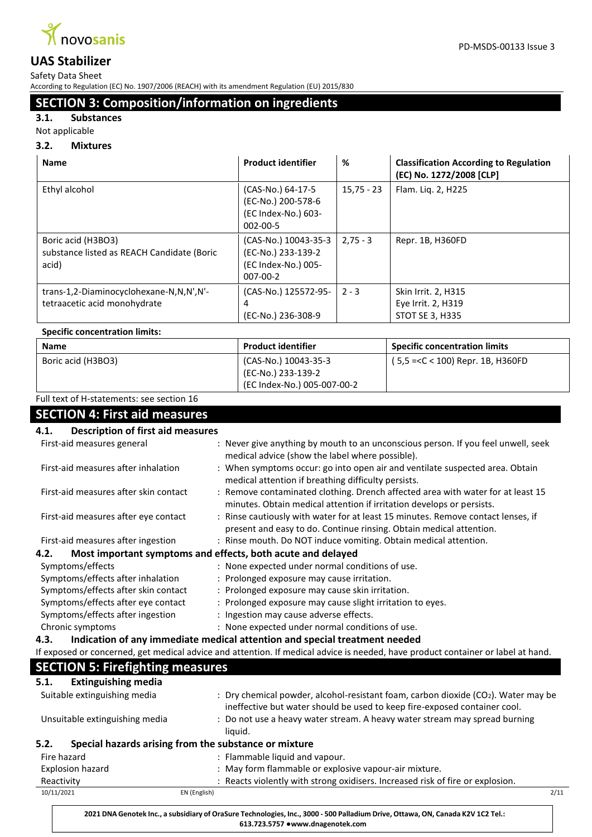

Safety Data Sheet

According to Regulation (EC) No. 1907/2006 (REACH) with its amendment Regulation (EU) 2015/830

# **SECTION 3: Composition/information on ingredients**

# **3.1. Substances**

Not applicable

### **3.2. Mixtures**

| <b>Name</b>                                                               | <b>Product identifier</b>                                                        | %            | <b>Classification According to Regulation</b><br>(EC) No. 1272/2008 [CLP] |
|---------------------------------------------------------------------------|----------------------------------------------------------------------------------|--------------|---------------------------------------------------------------------------|
| Ethyl alcohol                                                             | (CAS-No.) 64-17-5<br>(EC-No.) 200-578-6<br>(EC Index-No.) 603-<br>$002 - 00 - 5$ | $15,75 - 23$ | Flam. Liq. 2, H225                                                        |
| Boric acid (H3BO3)<br>substance listed as REACH Candidate (Boric<br>acid) | (CAS-No.) 10043-35-3<br>(EC-No.) 233-139-2<br>(EC Index-No.) 005-<br>$007-00-2$  | $2,75 - 3$   | Repr. 1B, H360FD                                                          |
| trans-1,2-Diaminocyclohexane-N,N,N',N'-<br>tetraacetic acid monohydrate   | (CAS-No.) 125572-95-<br>4<br>(EC-No.) 236-308-9                                  | $2 - 3$      | Skin Irrit. 2, H315<br>Eye Irrit. 2, H319<br>STOT SE 3, H335              |
| <b>Specific concentration limits:</b>                                     |                                                                                  |              |                                                                           |
| <b>Name</b>                                                               | <b>Product identifier</b>                                                        |              | <b>Specific concentration limits</b>                                      |
| Boric acid (H3BO3)                                                        | (CAS-No.) 10043-35-3                                                             |              | (5,5 = < C < 100) Repr. 1B, H360FD                                        |

(EC-No.) 233-139-2

(EC Index-No.) 005-007-00-2

Full text of H-statements: see section 16

# **SECTION 4: First aid measures**

| <b>Description of first aid measures</b><br>4.1.                    |                                                                                                                                  |
|---------------------------------------------------------------------|----------------------------------------------------------------------------------------------------------------------------------|
| First-aid measures general                                          | : Never give anything by mouth to an unconscious person. If you feel unwell, seek                                                |
|                                                                     | medical advice (show the label where possible).                                                                                  |
| First-aid measures after inhalation                                 | : When symptoms occur: go into open air and ventilate suspected area. Obtain                                                     |
|                                                                     | medical attention if breathing difficulty persists.                                                                              |
| First-aid measures after skin contact                               | : Remove contaminated clothing. Drench affected area with water for at least 15                                                  |
|                                                                     | minutes. Obtain medical attention if irritation develops or persists.                                                            |
| First-aid measures after eye contact                                | : Rinse cautiously with water for at least 15 minutes. Remove contact lenses, if                                                 |
|                                                                     | present and easy to do. Continue rinsing. Obtain medical attention.                                                              |
| First-aid measures after ingestion                                  | : Rinse mouth. Do NOT induce vomiting. Obtain medical attention.                                                                 |
| Most important symptoms and effects, both acute and delayed<br>4.2. |                                                                                                                                  |
| Symptoms/effects                                                    | : None expected under normal conditions of use.                                                                                  |
| Symptoms/effects after inhalation                                   | : Prolonged exposure may cause irritation.                                                                                       |
| Symptoms/effects after skin contact                                 | : Prolonged exposure may cause skin irritation.                                                                                  |
| Symptoms/effects after eye contact                                  | : Prolonged exposure may cause slight irritation to eyes.                                                                        |
| Symptoms/effects after ingestion                                    | : Ingestion may cause adverse effects.                                                                                           |
| Chronic symptoms                                                    | : None expected under normal conditions of use.                                                                                  |
| 4.3.                                                                | Indication of any immediate medical attention and special treatment needed                                                       |
|                                                                     | If exposed or concerned, get medical advice and attention. If medical advice is needed, have product container or label at hand. |
| <b>SECTION 5: Firefighting measures</b>                             |                                                                                                                                  |
| <b>Extinguishing media</b><br>5.1.                                  |                                                                                                                                  |
| Suitable extinguishing media                                        | : Dry chemical powder, alcohol-resistant foam, carbon dioxide ( $CO2$ ). Water may be                                            |
|                                                                     | ineffective but water should be used to keep fire-exposed container cool.                                                        |
| Unsuitable extinguishing media                                      | : Do not use a heavy water stream. A heavy water stream may spread burning                                                       |
|                                                                     | liquid.                                                                                                                          |
| Special hazards arising from the substance or mixture<br>5.2.       |                                                                                                                                  |
| Fire hazard                                                         | : Flammable liquid and vapour.                                                                                                   |
| <b>Explosion hazard</b>                                             | : May form flammable or explosive vapour-air mixture.                                                                            |
| Reactivity                                                          | : Reacts violently with strong oxidisers. Increased risk of fire or explosion.                                                   |
| 10/11/2021<br>EN (English)                                          | 2/11                                                                                                                             |
|                                                                     |                                                                                                                                  |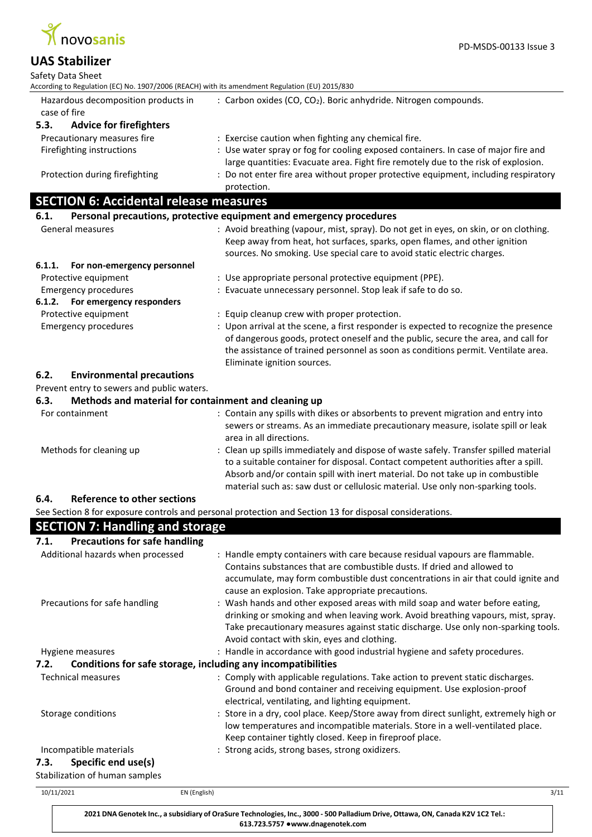

| <b>UAS Stabilizer</b>                                                                          |                                                                                                                                                                                                                                                                                                                                                 |
|------------------------------------------------------------------------------------------------|-------------------------------------------------------------------------------------------------------------------------------------------------------------------------------------------------------------------------------------------------------------------------------------------------------------------------------------------------|
| Safety Data Sheet                                                                              |                                                                                                                                                                                                                                                                                                                                                 |
| According to Regulation (EC) No. 1907/2006 (REACH) with its amendment Regulation (EU) 2015/830 |                                                                                                                                                                                                                                                                                                                                                 |
| Hazardous decomposition products in<br>case of fire                                            | : Carbon oxides (CO, CO <sub>2</sub> ). Boric anhydride. Nitrogen compounds.                                                                                                                                                                                                                                                                    |
| 5.3.<br><b>Advice for firefighters</b>                                                         |                                                                                                                                                                                                                                                                                                                                                 |
| Precautionary measures fire                                                                    | : Exercise caution when fighting any chemical fire.                                                                                                                                                                                                                                                                                             |
| Firefighting instructions                                                                      | : Use water spray or fog for cooling exposed containers. In case of major fire and<br>large quantities: Evacuate area. Fight fire remotely due to the risk of explosion.                                                                                                                                                                        |
| Protection during firefighting                                                                 | : Do not enter fire area without proper protective equipment, including respiratory<br>protection.                                                                                                                                                                                                                                              |
| <b>SECTION 6: Accidental release measures</b>                                                  |                                                                                                                                                                                                                                                                                                                                                 |
| 6.1.                                                                                           | Personal precautions, protective equipment and emergency procedures                                                                                                                                                                                                                                                                             |
| General measures                                                                               | : Avoid breathing (vapour, mist, spray). Do not get in eyes, on skin, or on clothing.                                                                                                                                                                                                                                                           |
|                                                                                                | Keep away from heat, hot surfaces, sparks, open flames, and other ignition                                                                                                                                                                                                                                                                      |
|                                                                                                | sources. No smoking. Use special care to avoid static electric charges.                                                                                                                                                                                                                                                                         |
| 6.1.1.<br>For non-emergency personnel                                                          |                                                                                                                                                                                                                                                                                                                                                 |
| Protective equipment                                                                           | : Use appropriate personal protective equipment (PPE).                                                                                                                                                                                                                                                                                          |
| <b>Emergency procedures</b>                                                                    | : Evacuate unnecessary personnel. Stop leak if safe to do so.                                                                                                                                                                                                                                                                                   |
| 6.1.2. For emergency responders                                                                |                                                                                                                                                                                                                                                                                                                                                 |
| Protective equipment                                                                           | : Equip cleanup crew with proper protection.                                                                                                                                                                                                                                                                                                    |
| <b>Emergency procedures</b>                                                                    | : Upon arrival at the scene, a first responder is expected to recognize the presence<br>of dangerous goods, protect oneself and the public, secure the area, and call for<br>the assistance of trained personnel as soon as conditions permit. Ventilate area.<br>Eliminate ignition sources.                                                   |
| 6.2.<br><b>Environmental precautions</b>                                                       |                                                                                                                                                                                                                                                                                                                                                 |
| Prevent entry to sewers and public waters.                                                     |                                                                                                                                                                                                                                                                                                                                                 |
| Methods and material for containment and cleaning up<br>6.3.                                   |                                                                                                                                                                                                                                                                                                                                                 |
| For containment                                                                                | : Contain any spills with dikes or absorbents to prevent migration and entry into<br>sewers or streams. As an immediate precautionary measure, isolate spill or leak<br>area in all directions.                                                                                                                                                 |
| Methods for cleaning up                                                                        | : Clean up spills immediately and dispose of waste safely. Transfer spilled material<br>to a suitable container for disposal. Contact competent authorities after a spill.<br>Absorb and/or contain spill with inert material. Do not take up in combustible<br>material such as: saw dust or cellulosic material. Use only non-sparking tools. |
| Reference to other sections<br>6.4.                                                            |                                                                                                                                                                                                                                                                                                                                                 |

See Section 8 for exposure controls and personal protection and Section 13 for disposal considerations.

| <b>SECTION 7: Handling and storage</b>                                                  |                                                                                                                                                                                                                                                                                                       |
|-----------------------------------------------------------------------------------------|-------------------------------------------------------------------------------------------------------------------------------------------------------------------------------------------------------------------------------------------------------------------------------------------------------|
| <b>Precautions for safe handling</b><br>7.1.                                            |                                                                                                                                                                                                                                                                                                       |
| Additional hazards when processed                                                       | : Handle empty containers with care because residual vapours are flammable.<br>Contains substances that are combustible dusts. If dried and allowed to<br>accumulate, may form combustible dust concentrations in air that could ignite and<br>cause an explosion. Take appropriate precautions.      |
| Precautions for safe handling                                                           | : Wash hands and other exposed areas with mild soap and water before eating,<br>drinking or smoking and when leaving work. Avoid breathing vapours, mist, spray.<br>Take precautionary measures against static discharge. Use only non-sparking tools.<br>Avoid contact with skin, eyes and clothing. |
| Hygiene measures                                                                        | : Handle in accordance with good industrial hygiene and safety procedures.                                                                                                                                                                                                                            |
| Conditions for safe storage, including any incompatibilities<br>7.2.                    |                                                                                                                                                                                                                                                                                                       |
| <b>Technical measures</b>                                                               | : Comply with applicable regulations. Take action to prevent static discharges.<br>Ground and bond container and receiving equipment. Use explosion-proof<br>electrical, ventilating, and lighting equipment.                                                                                         |
| Storage conditions                                                                      | : Store in a dry, cool place. Keep/Store away from direct sunlight, extremely high or<br>low temperatures and incompatible materials. Store in a well-ventilated place.<br>Keep container tightly closed. Keep in fireproof place.                                                                    |
| Incompatible materials<br>Specific end use(s)<br>7.3.<br>Stabilization of human samples | : Strong acids, strong bases, strong oxidizers.                                                                                                                                                                                                                                                       |

| 10/11/2021 | EN (English)                                                                                                                                                         | 3/11 |
|------------|----------------------------------------------------------------------------------------------------------------------------------------------------------------------|------|
|            | 2021 DNA Genotek Inc., a subsidiary of OraSure Technologies, Inc., 3000 - 500 Palladium Drive, Ottawa, ON, Canada K2V 1C2 Tel.:<br>613.723.5757 • www.dnagenotek.com |      |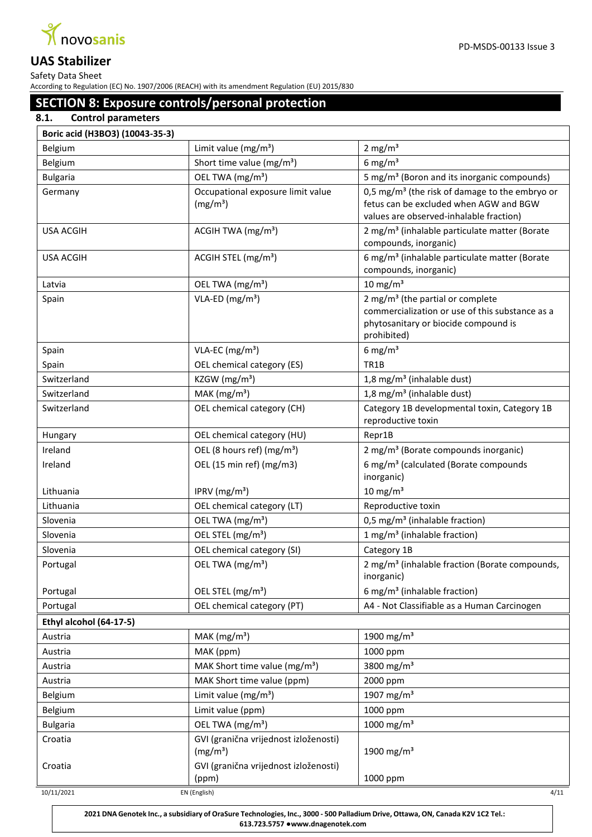

Safety Data Sheet According to Regulation (EC) No. 1907/2006 (REACH) with its amendment Regulation (EU) 2015/830

# **SECTION 8: Exposure controls/personal protection**

# **8.1. Control parameters**

|  |  | Boric acid (H3BO3) (10043-35-3) |
|--|--|---------------------------------|
|--|--|---------------------------------|

| DUTIC aciu (113003) (10043-33-3) |                                                               |                                                                                                                                                        |  |
|----------------------------------|---------------------------------------------------------------|--------------------------------------------------------------------------------------------------------------------------------------------------------|--|
| Belgium                          | Limit value ( $mg/m3$ )                                       | $2 \text{ mg/m}^3$                                                                                                                                     |  |
| Belgium                          | Short time value (mg/m <sup>3</sup> )                         | 6 mg/ $m3$                                                                                                                                             |  |
| <b>Bulgaria</b>                  | OEL TWA (mg/m <sup>3</sup> )                                  | 5 mg/m <sup>3</sup> (Boron and its inorganic compounds)                                                                                                |  |
| Germany                          | Occupational exposure limit value<br>(mg/m <sup>3</sup> )     | 0,5 mg/m <sup>3</sup> (the risk of damage to the embryo or<br>fetus can be excluded when AGW and BGW<br>values are observed-inhalable fraction)        |  |
| <b>USA ACGIH</b>                 | ACGIH TWA $(mg/m3)$                                           | 2 mg/m <sup>3</sup> (inhalable particulate matter (Borate<br>compounds, inorganic)                                                                     |  |
| <b>USA ACGIH</b>                 | ACGIH STEL (mg/m <sup>3</sup> )                               | 6 mg/m <sup>3</sup> (inhalable particulate matter (Borate<br>compounds, inorganic)                                                                     |  |
| Latvia                           | OEL TWA (mg/m <sup>3</sup> )                                  | 10 mg/m $3$                                                                                                                                            |  |
| Spain                            | $VLA-ED (mg/m3)$                                              | 2 mg/m <sup>3</sup> (the partial or complete<br>commercialization or use of this substance as a<br>phytosanitary or biocide compound is<br>prohibited) |  |
| Spain                            | VLA-EC $(mg/m3)$                                              | 6 mg/m $3$                                                                                                                                             |  |
| Spain                            | OEL chemical category (ES)                                    | TR <sub>1</sub> B                                                                                                                                      |  |
| Switzerland                      | KZGW ( $mg/m3$ )                                              | 1,8 mg/m <sup>3</sup> (inhalable dust)                                                                                                                 |  |
| Switzerland                      | MAK $(mg/m3)$                                                 | 1,8 mg/m <sup>3</sup> (inhalable dust)                                                                                                                 |  |
| Switzerland                      | OEL chemical category (CH)                                    | Category 1B developmental toxin, Category 1B<br>reproductive toxin                                                                                     |  |
| Hungary                          | OEL chemical category (HU)                                    | Repr1B                                                                                                                                                 |  |
| Ireland                          | OEL (8 hours ref) (mg/m <sup>3</sup> )                        | 2 mg/m <sup>3</sup> (Borate compounds inorganic)                                                                                                       |  |
| Ireland                          | OEL (15 min ref) (mg/m3)                                      | 6 mg/m <sup>3</sup> (calculated (Borate compounds<br>inorganic)                                                                                        |  |
| Lithuania                        | IPRV (mg/m <sup>3</sup> )                                     | 10 mg/m $3$                                                                                                                                            |  |
| Lithuania                        | OEL chemical category (LT)                                    | Reproductive toxin                                                                                                                                     |  |
| Slovenia                         | OEL TWA (mg/m <sup>3</sup> )                                  | 0,5 mg/m <sup>3</sup> (inhalable fraction)                                                                                                             |  |
| Slovenia                         | OEL STEL (mg/m <sup>3</sup> )                                 | 1 mg/m <sup>3</sup> (inhalable fraction)                                                                                                               |  |
| Slovenia                         | OEL chemical category (SI)                                    | Category 1B                                                                                                                                            |  |
| Portugal                         | OEL TWA (mg/m <sup>3</sup> )                                  | 2 mg/m <sup>3</sup> (inhalable fraction (Borate compounds,<br>inorganic)                                                                               |  |
| Portugal                         | OEL STEL (mg/m <sup>3</sup> )                                 | 6 mg/m <sup>3</sup> (inhalable fraction)                                                                                                               |  |
| Portugal                         | OEL chemical category (PT)                                    | A4 - Not Classifiable as a Human Carcinogen                                                                                                            |  |
| Ethyl alcohol (64-17-5)          |                                                               |                                                                                                                                                        |  |
| Austria                          | MAK $(mg/m3)$                                                 | 1900 mg/m <sup>3</sup>                                                                                                                                 |  |
| Austria                          | MAK (ppm)                                                     | 1000 ppm                                                                                                                                               |  |
| Austria                          | MAK Short time value (mg/m <sup>3</sup> )                     | 3800 mg/m <sup>3</sup>                                                                                                                                 |  |
| Austria                          | MAK Short time value (ppm)                                    | 2000 ppm                                                                                                                                               |  |
| Belgium                          | Limit value ( $mg/m3$ )                                       | 1907 mg/m <sup>3</sup>                                                                                                                                 |  |
| Belgium                          | Limit value (ppm)                                             | 1000 ppm                                                                                                                                               |  |
| <b>Bulgaria</b>                  | OEL TWA (mg/m <sup>3</sup> )                                  | 1000 mg/m <sup>3</sup>                                                                                                                                 |  |
| Croatia                          | GVI (granična vrijednost izloženosti)<br>(mg/m <sup>3</sup> ) | 1900 mg/m <sup>3</sup>                                                                                                                                 |  |
| Croatia                          | GVI (granična vrijednost izloženosti)<br>(ppm)                | 1000 ppm                                                                                                                                               |  |
| 10/11/2021                       | EN (English)                                                  | 4/11                                                                                                                                                   |  |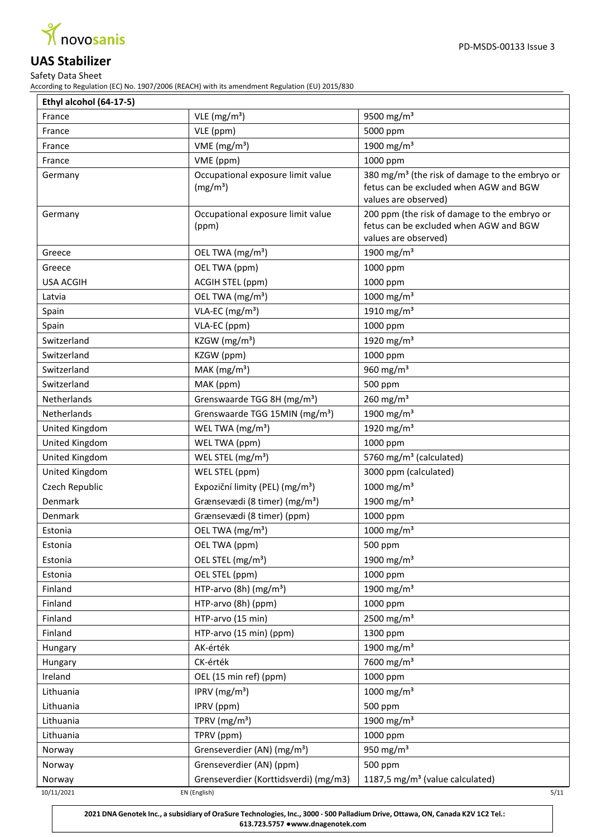

Safety Data Sheet According to Regulation (EC) No. 1907/2006 (REACH) with its amendment Regulation (EU) 2015/830

| Ethyl alcohol (64-17-5) |                                                           |                                                                                                                              |  |
|-------------------------|-----------------------------------------------------------|------------------------------------------------------------------------------------------------------------------------------|--|
| France                  | $VLE$ (mg/m <sup>3</sup> )                                | 9500 mg/m <sup>3</sup>                                                                                                       |  |
| France                  | VLE (ppm)                                                 | 5000 ppm                                                                                                                     |  |
| France                  | VME ( $mg/m3$ )                                           | 1900 mg/m <sup>3</sup>                                                                                                       |  |
| France                  | VME (ppm)                                                 | 1000 ppm                                                                                                                     |  |
| Germany                 | Occupational exposure limit value<br>(mg/m <sup>3</sup> ) | 380 mg/m <sup>3</sup> (the risk of damage to the embryo or<br>fetus can be excluded when AGW and BGW<br>values are observed) |  |
| Germany                 | Occupational exposure limit value<br>(ppm)                | 200 ppm (the risk of damage to the embryo or<br>fetus can be excluded when AGW and BGW<br>values are observed)               |  |
| Greece                  | OEL TWA (mg/m <sup>3</sup> )                              | 1900 mg/m <sup>3</sup>                                                                                                       |  |
| Greece                  | OEL TWA (ppm)                                             | 1000 ppm                                                                                                                     |  |
| <b>USA ACGIH</b>        | ACGIH STEL (ppm)                                          | 1000 ppm                                                                                                                     |  |
| Latvia                  | OEL TWA (mg/m <sup>3</sup> )                              | 1000 mg/m <sup>3</sup>                                                                                                       |  |
| Spain                   | VLA-EC (mg/m <sup>3</sup> )                               | 1910 mg/m <sup>3</sup>                                                                                                       |  |
| Spain                   | VLA-EC (ppm)                                              | 1000 ppm                                                                                                                     |  |
| Switzerland             | KZGW ( $mg/m3$ )                                          | 1920 mg/m <sup>3</sup>                                                                                                       |  |
| Switzerland             | KZGW (ppm)                                                | 1000 ppm                                                                                                                     |  |
| Switzerland             | $MAK$ (mg/m <sup>3</sup> )                                | 960 $mg/m3$                                                                                                                  |  |
| Switzerland             | MAK (ppm)                                                 | 500 ppm                                                                                                                      |  |
| Netherlands             | Grenswaarde TGG 8H (mg/m <sup>3</sup> )                   | 260 mg/m $3$                                                                                                                 |  |
| Netherlands             | Grenswaarde TGG 15MIN (mg/m <sup>3</sup> )                | 1900 mg/m <sup>3</sup>                                                                                                       |  |
| United Kingdom          | WEL TWA (mg/m <sup>3</sup> )                              | 1920 mg/m <sup>3</sup>                                                                                                       |  |
| United Kingdom          | WEL TWA (ppm)                                             | 1000 ppm                                                                                                                     |  |
| United Kingdom          | WEL STEL (mg/m <sup>3</sup> )                             | 5760 mg/m <sup>3</sup> (calculated)                                                                                          |  |
| United Kingdom          | WEL STEL (ppm)                                            | 3000 ppm (calculated)                                                                                                        |  |
| Czech Republic          | Expoziční limity (PEL) (mg/m <sup>3</sup> )               | 1000 mg/m <sup>3</sup>                                                                                                       |  |
| Denmark                 | Grænsevædi (8 timer) (mg/m <sup>3</sup> )                 | 1900 mg/m <sup>3</sup>                                                                                                       |  |
| Denmark                 | Grænsevædi (8 timer) (ppm)                                | 1000 ppm                                                                                                                     |  |
| Estonia                 | OEL TWA (mg/m <sup>3</sup> )                              | 1000 mg/m <sup>3</sup>                                                                                                       |  |
| Estonia                 | OEL TWA (ppm)                                             | 500 ppm                                                                                                                      |  |
| Estonia                 | OEL STEL (mg/m <sup>3</sup> )                             | 1900 mg/m <sup>3</sup>                                                                                                       |  |
| Estonia                 | OEL STEL (ppm)                                            | 1000 ppm                                                                                                                     |  |
| Finland                 | HTP-arvo (8h) $(mg/m3)$                                   | 1900 mg/m <sup>3</sup>                                                                                                       |  |
| Finland                 | HTP-arvo (8h) (ppm)                                       | 1000 ppm                                                                                                                     |  |
| Finland                 | HTP-arvo (15 min)                                         | 2500 mg/m <sup>3</sup>                                                                                                       |  |
| Finland                 | HTP-arvo (15 min) (ppm)                                   | 1300 ppm                                                                                                                     |  |
| Hungary                 | AK-érték                                                  | 1900 mg/m <sup>3</sup>                                                                                                       |  |
| Hungary                 | CK-érték                                                  | 7600 mg/m <sup>3</sup>                                                                                                       |  |
| Ireland                 | OEL (15 min ref) (ppm)                                    | 1000 ppm                                                                                                                     |  |
| Lithuania               | IPRV ( $mg/m3$ )                                          | 1000 mg/m <sup>3</sup>                                                                                                       |  |
| Lithuania               | IPRV (ppm)                                                | 500 ppm                                                                                                                      |  |
| Lithuania               | TPRV ( $mg/m3$ )                                          | 1900 mg/m <sup>3</sup>                                                                                                       |  |
| Lithuania               | TPRV (ppm)                                                | 1000 ppm                                                                                                                     |  |
| Norway                  | Grenseverdier (AN) (mg/m <sup>3</sup> )                   | 950 mg/m $3$                                                                                                                 |  |
| Norway                  | Grenseverdier (AN) (ppm)                                  | 500 ppm                                                                                                                      |  |
| Norway                  | Grenseverdier (Korttidsverdi) (mg/m3)                     | 1187,5 mg/m <sup>3</sup> (value calculated)                                                                                  |  |
| 10/11/2021              | EN (English)                                              | 5/11                                                                                                                         |  |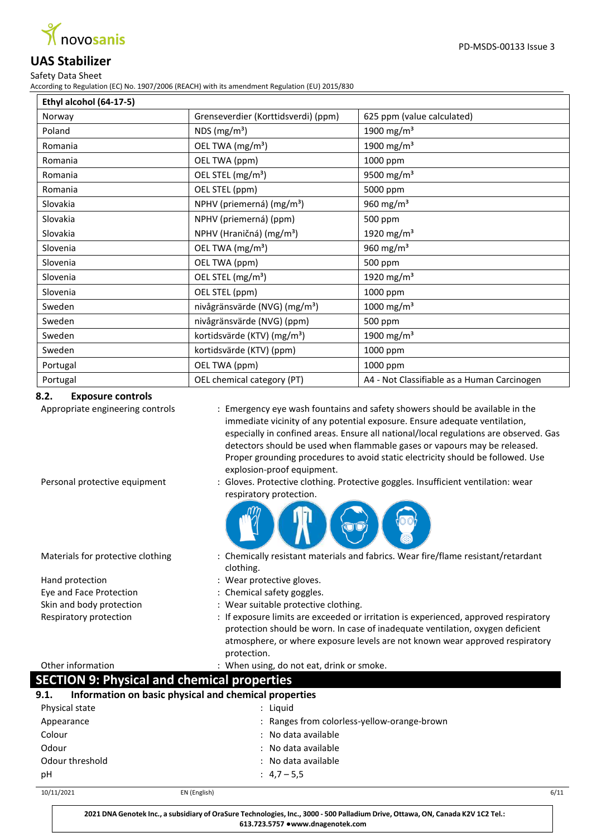

PD-MSDS-00133 Issue 3

## Safety Data Sheet According to Regulation (EC) No. 1907/2006 (REACH) with its amendment Regulation (EU) 2015/830

| Ethyl alcohol (64-17-5) |                                           |                                             |
|-------------------------|-------------------------------------------|---------------------------------------------|
| Norway                  | Grenseverdier (Korttidsverdi) (ppm)       | 625 ppm (value calculated)                  |
| Poland                  | NDS $(mg/m3)$                             | 1900 mg/m <sup>3</sup>                      |
| Romania                 | OEL TWA (mg/m <sup>3</sup> )              | 1900 mg/m <sup>3</sup>                      |
| Romania                 | OEL TWA (ppm)                             | 1000 ppm                                    |
| Romania                 | OEL STEL (mg/m <sup>3</sup> )             | 9500 mg/m <sup>3</sup>                      |
| Romania                 | OEL STEL (ppm)                            | 5000 ppm                                    |
| Slovakia                | NPHV (priemerná) (mg/m <sup>3</sup> )     | 960 mg/m <sup>3</sup>                       |
| Slovakia                | NPHV (priemerná) (ppm)                    | 500 ppm                                     |
| Slovakia                | NPHV (Hraničná) (mg/m <sup>3</sup> )      | 1920 mg/m <sup>3</sup>                      |
| Slovenia                | OEL TWA (mg/m <sup>3</sup> )              | 960 $mg/m3$                                 |
| Slovenia                | OEL TWA (ppm)                             | 500 ppm                                     |
| Slovenia                | OEL STEL (mg/m <sup>3</sup> )             | 1920 mg/m <sup>3</sup>                      |
| Slovenia                | OEL STEL (ppm)                            | 1000 ppm                                    |
| Sweden                  | nivågränsvärde (NVG) (mg/m <sup>3</sup> ) | 1000 mg/m <sup>3</sup>                      |
| Sweden                  | nivågränsvärde (NVG) (ppm)                | 500 ppm                                     |
| Sweden                  | kortidsvärde (KTV) (mg/m <sup>3</sup> )   | 1900 mg/m <sup>3</sup>                      |
| Sweden                  | kortidsvärde (KTV) (ppm)                  | 1000 ppm                                    |
| Portugal                | OEL TWA (ppm)                             | 1000 ppm                                    |
| Portugal                | OEL chemical category (PT)                | A4 - Not Classifiable as a Human Carcinogen |

## **8.2. Exposure controls**

Appropriate engineering controls : Emergency eye wash fountains and safety showers should be available in the immediate vicinity of any potential exposure. Ensure adequate ventilation, especially in confined areas. Ensure all national/local regulations are observed. Gas detectors should be used when flammable gases or vapours may be released. Proper grounding procedures to avoid static electricity should be followed. Use explosion-proof equipment.

Personal protective equipment : Gloves. Protective clothing. Protective goggles. Insufficient ventilation: wear respiratory protection.



- Materials for protective clothing : Chemically resistant materials and fabrics. Wear fire/flame resistant/retardant clothing.
- Hand protection **in the case of the contract of the Hand** protective gloves.
- Eye and Face Protection : Chemical safety goggles.
- Skin and body protection : Wear suitable protective clothing.
- Respiratory protection : If exposure limits are exceeded or irritation is experienced, approved respiratory protection should be worn. In case of inadequate ventilation, oxygen deficient atmosphere, or where exposure levels are not known wear approved respiratory protection.

Other information : When using, do not eat, drink or smoke.

# **SECTION 9: Physical and chemical properties**

| 9.1.<br>Information on basic physical and chemical properties |              |                                             |      |
|---------------------------------------------------------------|--------------|---------------------------------------------|------|
| Physical state                                                |              | : Liguid                                    |      |
| Appearance                                                    |              | : Ranges from colorless-yellow-orange-brown |      |
| Colour                                                        |              | : No data available                         |      |
| Odour                                                         |              | : No data available                         |      |
| Odour threshold                                               |              | : No data available                         |      |
| рH                                                            |              | : $4,7-5,5$                                 |      |
| 10/11/2021                                                    | EN (English) |                                             | 6/11 |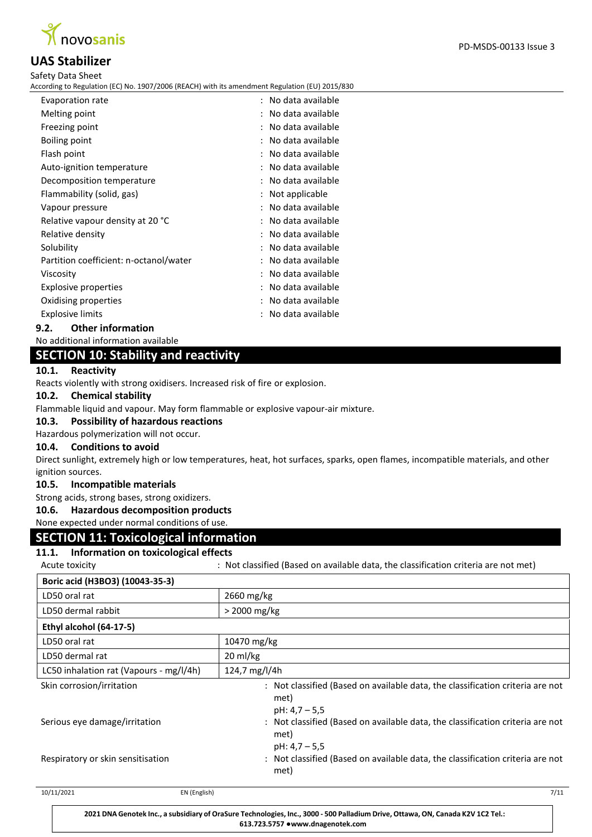

According to Regulation (EC) No. 1907/2006 (REACH) with its amendment Regulation (EU) 2015/830

| Evaporation rate                       | : No data available |
|----------------------------------------|---------------------|
| Melting point                          | No data available   |
| Freezing point                         | : No data available |
| Boiling point                          | : No data available |
| Flash point                            | : No data available |
| Auto-ignition temperature              | : No data available |
| Decomposition temperature              | : No data available |
| Flammability (solid, gas)              | : Not applicable    |
| Vapour pressure                        | No data available   |
| Relative vapour density at 20 °C       | : No data available |
| Relative density                       | : No data available |
| Solubility                             | : No data available |
| Partition coefficient: n-octanol/water | No data available   |
| Viscosity                              | : No data available |
| <b>Explosive properties</b>            | No data available   |
| Oxidising properties                   | No data available   |
| <b>Explosive limits</b>                | : No data available |

#### **9.2. Other information**

No additional information available

# **SECTION 10: Stability and reactivity**

#### **10.1. Reactivity**

Reacts violently with strong oxidisers. Increased risk of fire or explosion.

## **10.2. Chemical stability**

Flammable liquid and vapour. May form flammable or explosive vapour-air mixture.

#### **10.3. Possibility of hazardous reactions**

#### Hazardous polymerization will not occur.

#### **10.4. Conditions to avoid**

Direct sunlight, extremely high or low temperatures, heat, hot surfaces, sparks, open flames, incompatible materials, and other ignition sources.

#### **10.5. Incompatible materials**

Strong acids, strong bases, strong oxidizers.

#### **10.6. Hazardous decomposition products**

None expected under normal conditions of use.

## **SECTION 11: Toxicological information**

# **11.1. Information on toxicological effects**

| 11.1. - Filiofination on toxicological Effects |                           |                                                                                     |
|------------------------------------------------|---------------------------|-------------------------------------------------------------------------------------|
| Acute toxicity                                 |                           | : Not classified (Based on available data, the classification criteria are not met) |
| Boric acid (H3BO3) (10043-35-3)                |                           |                                                                                     |
| LD50 oral rat                                  | 2660 mg/kg                |                                                                                     |
| LD50 dermal rabbit                             | > 2000 mg/kg              |                                                                                     |
| Ethyl alcohol (64-17-5)                        |                           |                                                                                     |
| LD50 oral rat                                  | 10470 mg/kg               |                                                                                     |
| LD50 dermal rat                                | 20 ml/kg                  |                                                                                     |
| LC50 inhalation rat (Vapours - mg/l/4h)        | 124,7 mg/l/4h             |                                                                                     |
| Skin corrosion/irritation                      | met)<br>$pH: 4, 7 - 5, 5$ | : Not classified (Based on available data, the classification criteria are not      |
| Serious eye damage/irritation                  | met)<br>$pH: 4, 7 - 5, 5$ | : Not classified (Based on available data, the classification criteria are not      |
| Respiratory or skin sensitisation              | met)                      | : Not classified (Based on available data, the classification criteria are not      |
| 10/11/2021                                     | EN (English)              | 7/11                                                                                |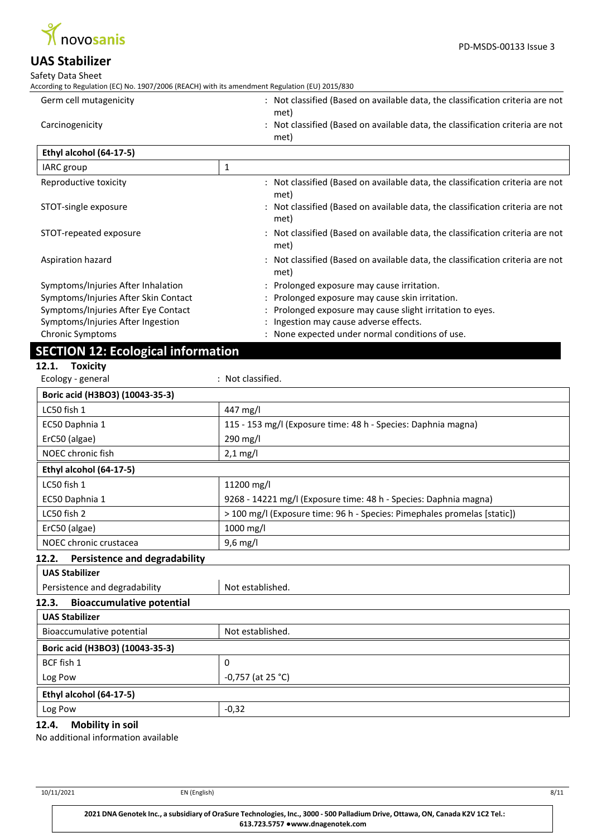

#### Safety Data Sheet

According to Regulation (EC) No. 1907/2006 (REACH) with its amendment Regulation (EU) 2015/830

| Germ cell mutagenicity | Not classified (Based on available data, the classification criteria are not   |
|------------------------|--------------------------------------------------------------------------------|
|                        | met)                                                                           |
| Carcinogenicity        | : Not classified (Based on available data, the classification criteria are not |
|                        | met)                                                                           |

| Ethyl alcohol (64-17-5)              |                                                                                        |  |
|--------------------------------------|----------------------------------------------------------------------------------------|--|
| IARC group                           | 1                                                                                      |  |
| Reproductive toxicity                | : Not classified (Based on available data, the classification criteria are not<br>met) |  |
| STOT-single exposure                 | : Not classified (Based on available data, the classification criteria are not<br>met) |  |
| STOT-repeated exposure               | : Not classified (Based on available data, the classification criteria are not<br>met) |  |
| Aspiration hazard                    | : Not classified (Based on available data, the classification criteria are not<br>met) |  |
| Symptoms/Injuries After Inhalation   | : Prolonged exposure may cause irritation.                                             |  |
| Symptoms/Injuries After Skin Contact | : Prolonged exposure may cause skin irritation.                                        |  |
| Symptoms/Injuries After Eye Contact  | : Prolonged exposure may cause slight irritation to eyes.                              |  |
| Symptoms/Injuries After Ingestion    | : Ingestion may cause adverse effects.                                                 |  |
| <b>Chronic Symptoms</b>              | : None expected under normal conditions of use.                                        |  |

# **SECTION 12: Ecological information**

# **12.1. Toxicity**

| Ecology - general                             | : Not classified.                                                        |
|-----------------------------------------------|--------------------------------------------------------------------------|
| Boric acid (H3BO3) (10043-35-3)               |                                                                          |
| LC50 fish 1                                   | 447 mg/l                                                                 |
| EC50 Daphnia 1                                | 115 - 153 mg/l (Exposure time: 48 h - Species: Daphnia magna)            |
| ErC50 (algae)                                 | 290 mg/l                                                                 |
| NOEC chronic fish                             | $2,1$ mg/l                                                               |
| Ethyl alcohol (64-17-5)                       |                                                                          |
| LC50 fish 1                                   | 11200 mg/l                                                               |
| EC50 Daphnia 1                                | 9268 - 14221 mg/l (Exposure time: 48 h - Species: Daphnia magna)         |
| LC50 fish 2                                   | > 100 mg/l (Exposure time: 96 h - Species: Pimephales promelas [static]) |
| ErC50 (algae)                                 | 1000 mg/l                                                                |
| NOEC chronic crustacea                        | $9,6$ mg/l                                                               |
| <b>Persistence and degradability</b><br>12.2. |                                                                          |
| <b>UAS Stabilizer</b>                         |                                                                          |
| Persistence and degradability                 | Not established.                                                         |
| <b>Bioaccumulative potential</b><br>12.3.     |                                                                          |

# **UAS Stabilizer** Bioaccumulative potential Not established. **Boric acid (H3BO3) (10043-35-3)** BCF fish 1  $\vert$  0 Log Pow  $\vert$  -0,757 (at 25 °C) **Ethyl alcohol (64-17-5)**  $\log$  Pow  $\Big|$  -0,32

## **12.4. Mobility in soil**

No additional information available

10/11/2021 EN (English) 8/11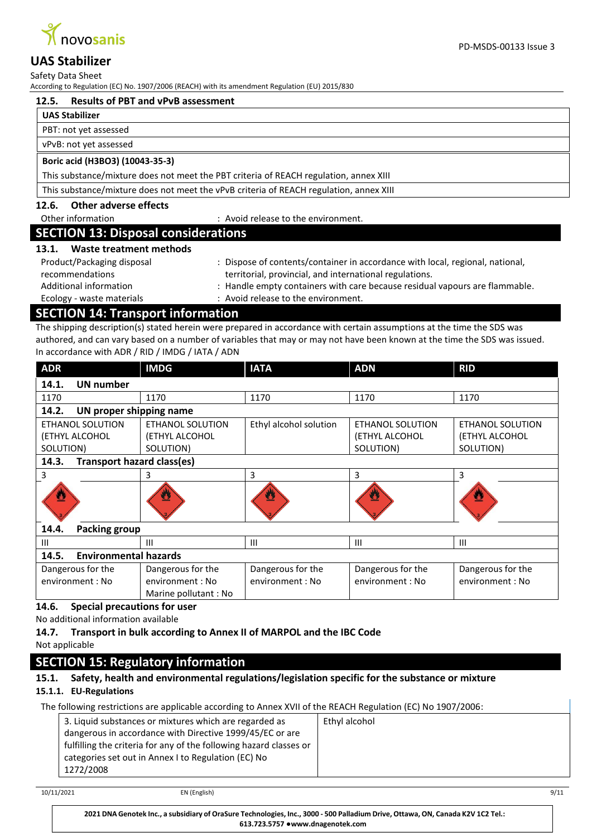

Safety Data Sheet

According to Regulation (EC) No. 1907/2006 (REACH) with its amendment Regulation (EU) 2015/830

PD-MSDS-00133 Issue 3

#### **UAS Stabilizer**

PBT: not yet assessed

vPvB: not yet assessed

#### **Boric acid (H3BO3) (10043-35-3)**

This substance/mixture does not meet the PBT criteria of REACH regulation, annex XIII

This substance/mixture does not meet the vPvB criteria of REACH regulation, annex XIII

## **12.6. Other adverse effects**

Other information  $\qquad \qquad :$  Avoid release to the environment.

# **SECTION 13: Disposal considerations**

#### **13.1. Waste treatment methods**

| Product/Packaging disposal | : Dispose of contents/container in accordance with local, regional, national, |
|----------------------------|-------------------------------------------------------------------------------|
| recommendations            | territorial, provincial, and international regulations.                       |
| Additional information     | : Handle empty containers with care because residual vapours are flammable.   |
| Ecology - waste materials  | : Avoid release to the environment.                                           |

# **SECTION 14: Transport information**

The shipping description(s) stated herein were prepared in accordance with certain assumptions at the time the SDS was authored, and can vary based on a number of variables that may or may not have been known at the time the SDS was issued. In accordance with ADR / RID / IMDG / IATA / ADN

| <b>ADR</b>                                 | <b>IMDG</b>          | <b>IATA</b>            | <b>ADN</b>              | <b>RID</b>        |
|--------------------------------------------|----------------------|------------------------|-------------------------|-------------------|
| 14.1.<br><b>UN number</b>                  |                      |                        |                         |                   |
| 1170                                       | 1170                 | 1170                   | 1170                    | 1170              |
| 14.2.<br>UN proper shipping name           |                      |                        |                         |                   |
| <b>ETHANOL SOLUTION</b>                    | ETHANOL SOLUTION     | Ethyl alcohol solution | ETHANOL SOLUTION        | ETHANOL SOLUTION  |
| (ETHYL ALCOHOL                             | (ETHYL ALCOHOL       |                        | (ETHYL ALCOHOL          | (ETHYL ALCOHOL    |
| SOLUTION)                                  | SOLUTION)            |                        | SOLUTION)               | SOLUTION)         |
| 14.3.<br><b>Transport hazard class(es)</b> |                      |                        |                         |                   |
| 3                                          | 3                    | 3                      | 3                       | 3                 |
|                                            | 巫                    |                        | $\overline{\mathbf{r}}$ |                   |
| 14.4.<br><b>Packing group</b>              |                      |                        |                         |                   |
| Ш                                          | Ш                    | Ш                      | III                     | $\mathbf{III}$    |
| <b>Environmental hazards</b><br>14.5.      |                      |                        |                         |                   |
| Dangerous for the                          | Dangerous for the    | Dangerous for the      | Dangerous for the       | Dangerous for the |
| environment: No                            | environment : No     | environment : No       | environment: No         | environment : No  |
|                                            | Marine pollutant: No |                        |                         |                   |

#### **14.6. Special precautions for user**

No additional information available

## **14.7. Transport in bulk according to Annex II of MARPOL and the IBC Code**

Not applicable

# **SECTION 15: Regulatory information**

# **15.1. Safety, health and environmental regulations/legislation specific for the substance or mixture**

## **15.1.1. EU-Regulations**

The following restrictions are applicable according to Annex XVII of the REACH Regulation (EC) No 1907/2006:

| 3. Liquid substances or mixtures which are regarded as<br>dangerous in accordance with Directive 1999/45/EC or are<br>fulfilling the criteria for any of the following hazard classes or<br>categories set out in Annex I to Regulation (EC) No<br>1272/2008 | Ethyl alcohol |
|--------------------------------------------------------------------------------------------------------------------------------------------------------------------------------------------------------------------------------------------------------------|---------------|
|--------------------------------------------------------------------------------------------------------------------------------------------------------------------------------------------------------------------------------------------------------------|---------------|

10/11/2021 EN (English) 9/11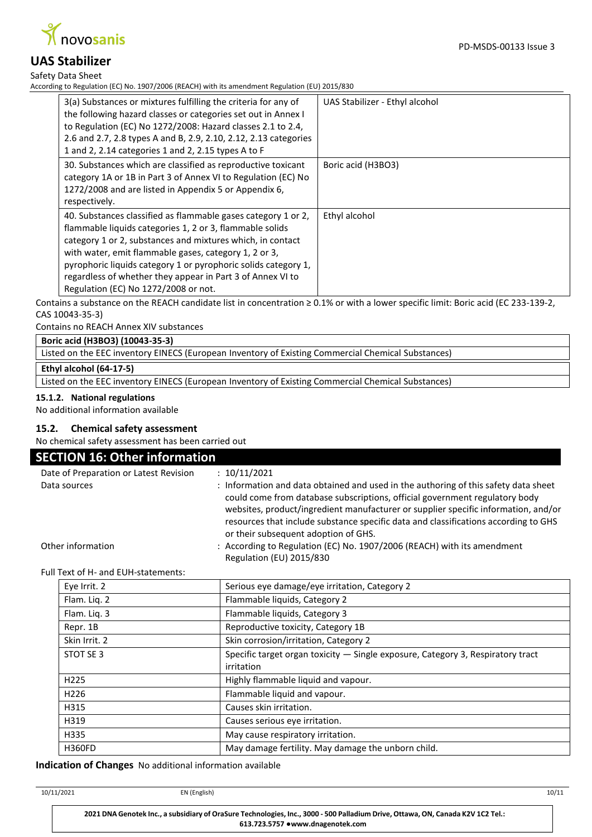

Safety Data Sheet

According to Regulation (EC) No. 1907/2006 (REACH) with its amendment Regulation (EU) 2015/830

| 3(a) Substances or mixtures fulfilling the criteria for any of<br>the following hazard classes or categories set out in Annex I<br>to Regulation (EC) No 1272/2008: Hazard classes 2.1 to 2.4,<br>2.6 and 2.7, 2.8 types A and B, 2.9, 2.10, 2.12, 2.13 categories<br>1 and 2, 2.14 categories 1 and 2, 2.15 types A to F                                                                                                | UAS Stabilizer - Ethyl alcohol |
|--------------------------------------------------------------------------------------------------------------------------------------------------------------------------------------------------------------------------------------------------------------------------------------------------------------------------------------------------------------------------------------------------------------------------|--------------------------------|
| 30. Substances which are classified as reproductive toxicant<br>category 1A or 1B in Part 3 of Annex VI to Regulation (EC) No<br>1272/2008 and are listed in Appendix 5 or Appendix 6,<br>respectively.                                                                                                                                                                                                                  | Boric acid (H3BO3)             |
| 40. Substances classified as flammable gases category 1 or 2,<br>flammable liquids categories 1, 2 or 3, flammable solids<br>category 1 or 2, substances and mixtures which, in contact<br>with water, emit flammable gases, category 1, 2 or 3,<br>pyrophoric liquids category 1 or pyrophoric solids category 1,<br>regardless of whether they appear in Part 3 of Annex VI to<br>Regulation (EC) No 1272/2008 or not. | Ethyl alcohol                  |

Contains a substance on the REACH candidate list in concentration ≥ 0.1% or with a lower specific limit: Boric acid (EC 233-139-2, CAS 10043-35-3)

Contains no REACH Annex XIV substances

#### **Boric acid (H3BO3) (10043-35-3)**

Listed on the EEC inventory EINECS (European Inventory of Existing Commercial Chemical Substances)

**Ethyl alcohol (64-17-5)**

Listed on the EEC inventory EINECS (European Inventory of Existing Commercial Chemical Substances)

#### **15.1.2. National regulations**

No additional information available

#### **15.2. Chemical safety assessment**

No chemical safety assessment has been carried out

| <b>SECTION 16: Other information</b>   |                                                                                                                                                                                                                                                                                                                                                                                         |  |  |
|----------------------------------------|-----------------------------------------------------------------------------------------------------------------------------------------------------------------------------------------------------------------------------------------------------------------------------------------------------------------------------------------------------------------------------------------|--|--|
| Date of Preparation or Latest Revision | : 10/11/2021                                                                                                                                                                                                                                                                                                                                                                            |  |  |
| Data sources                           | : Information and data obtained and used in the authoring of this safety data sheet<br>could come from database subscriptions, official government regulatory body<br>websites, product/ingredient manufacturer or supplier specific information, and/or<br>resources that include substance specific data and classifications according to GHS<br>or their subsequent adoption of GHS. |  |  |
| Other information                      | : According to Regulation (EC) No. 1907/2006 (REACH) with its amendment<br>Regulation (EU) 2015/830                                                                                                                                                                                                                                                                                     |  |  |

Full Text of H- and EUH-statements:

| Eye Irrit. 2     | Serious eye damage/eye irritation, Category 2                                     |
|------------------|-----------------------------------------------------------------------------------|
| Flam. Lig. 2     | Flammable liquids, Category 2                                                     |
| Flam. Liq. 3     | Flammable liquids, Category 3                                                     |
| Repr. 1B         | Reproductive toxicity, Category 1B                                                |
| Skin Irrit. 2    | Skin corrosion/irritation, Category 2                                             |
| STOT SE 3        | Specific target organ toxicity $-$ Single exposure, Category 3, Respiratory tract |
|                  | irritation                                                                        |
| H <sub>225</sub> | Highly flammable liquid and vapour.                                               |
| H <sub>226</sub> | Flammable liquid and vapour.                                                      |
| H315             | Causes skin irritation.                                                           |
| H319             | Causes serious eye irritation.                                                    |
| H335             | May cause respiratory irritation.                                                 |
| <b>H360FD</b>    | May damage fertility. May damage the unborn child.                                |

**Indication of Changes** No additional information available

| 10/11/2021 | EN (English)                                                                                                                    | 10/11 |
|------------|---------------------------------------------------------------------------------------------------------------------------------|-------|
|            | 2021 DNA Genotek Inc., a subsidiary of OraSure Technologies, Inc., 3000 - 500 Palladium Drive, Ottawa, ON, Canada K2V 1C2 Tel.: |       |

**613.723.5757 ●[www.dnagenotek.com](http://www.dnagenotek.com/)**